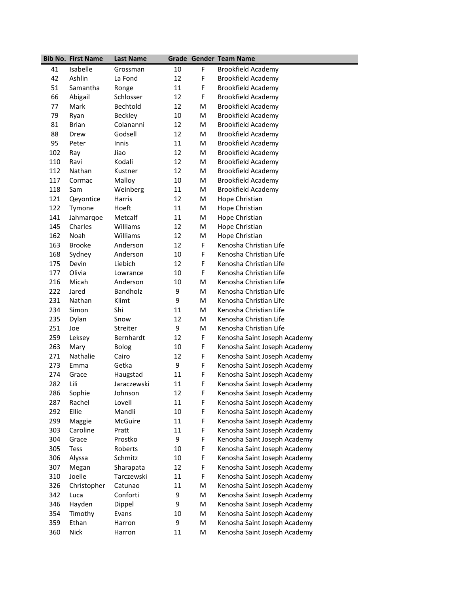|     | <b>Bib No. First Name</b> | <b>Last Name</b> |    |   | <b>Grade Gender Team Name</b> |
|-----|---------------------------|------------------|----|---|-------------------------------|
| 41  | Isabelle                  | Grossman         | 10 | F | Brookfield Academy            |
| 42  | Ashlin                    | La Fond          | 12 | F | <b>Brookfield Academy</b>     |
| 51  | Samantha                  | Ronge            | 11 | F | <b>Brookfield Academy</b>     |
| 66  | Abigail                   | Schlosser        | 12 | F | <b>Brookfield Academy</b>     |
| 77  | Mark                      | Bechtold         | 12 | M | <b>Brookfield Academy</b>     |
| 79  | Ryan                      | <b>Beckley</b>   | 10 | M | <b>Brookfield Academy</b>     |
| 81  | <b>Brian</b>              | Colananni        | 12 | M | <b>Brookfield Academy</b>     |
| 88  | Drew                      | Godsell          | 12 | M | <b>Brookfield Academy</b>     |
| 95  | Peter                     | Innis            | 11 | M | <b>Brookfield Academy</b>     |
| 102 | Ray                       | Jiao             | 12 | M | <b>Brookfield Academy</b>     |
| 110 | Ravi                      | Kodali           | 12 | M | <b>Brookfield Academy</b>     |
| 112 | Nathan                    | Kustner          | 12 | M | <b>Brookfield Academy</b>     |
| 117 | Cormac                    | Malloy           | 10 | M | <b>Brookfield Academy</b>     |
| 118 | Sam                       | Weinberg         | 11 | M | <b>Brookfield Academy</b>     |
| 121 | Qeyontice                 | <b>Harris</b>    | 12 | M | Hope Christian                |
| 122 | Tymone                    | Hoeft            | 11 | M | Hope Christian                |
| 141 | Jahmarqoe                 | Metcalf          | 11 | M | Hope Christian                |
| 145 | Charles                   | Williams         | 12 | M | Hope Christian                |
| 162 | Noah                      | Williams         | 12 | M | Hope Christian                |
| 163 | <b>Brooke</b>             | Anderson         | 12 | F | Kenosha Christian Life        |
| 168 | Sydney                    | Anderson         | 10 | F | Kenosha Christian Life        |
| 175 | Devin                     | Liebich          | 12 | F | Kenosha Christian Life        |
| 177 | Olivia                    | Lowrance         | 10 | F | Kenosha Christian Life        |
| 216 | Micah                     | Anderson         | 10 | M | Kenosha Christian Life        |
| 222 | Jared                     | <b>Bandholz</b>  | 9  | M | Kenosha Christian Life        |
| 231 | Nathan                    | Klimt            | 9  | M | Kenosha Christian Life        |
| 234 | Simon                     | Shi              | 11 | M | Kenosha Christian Life        |
| 235 | Dylan                     | Snow             | 12 | M | Kenosha Christian Life        |
| 251 | Joe                       | Streiter         | 9  | M | Kenosha Christian Life        |
| 259 | Leksey                    | Bernhardt        | 12 | F | Kenosha Saint Joseph Academy  |
| 263 | Mary                      | <b>Bolog</b>     | 10 | F | Kenosha Saint Joseph Academy  |
| 271 | <b>Nathalie</b>           | Cairo            | 12 | F | Kenosha Saint Joseph Academy  |
| 273 | Emma                      | Getka            | 9  | F | Kenosha Saint Joseph Academy  |
| 274 | Grace                     | Haugstad         | 11 | F | Kenosha Saint Joseph Academy  |
| 282 | Lili                      | Jaraczewski      | 11 | F | Kenosha Saint Joseph Academy  |
| 286 | Sophie                    | Johnson          | 12 | F | Kenosha Saint Joseph Academy  |
| 287 | Rachel                    | Lovell           | 11 | F | Kenosha Saint Joseph Academy  |
| 292 | Ellie                     | Mandli           | 10 | F | Kenosha Saint Joseph Academy  |
| 299 | Maggie                    | McGuire          | 11 | F | Kenosha Saint Joseph Academy  |
| 303 | Caroline                  | Pratt            | 11 | F | Kenosha Saint Joseph Academy  |
| 304 | Grace                     | Prostko          | 9  | F | Kenosha Saint Joseph Academy  |
| 305 | Tess                      | Roberts          | 10 | F | Kenosha Saint Joseph Academy  |
| 306 | Alyssa                    | Schmitz          | 10 | F | Kenosha Saint Joseph Academy  |
| 307 | Megan                     | Sharapata        | 12 | F | Kenosha Saint Joseph Academy  |
| 310 | Joelle                    | Tarczewski       | 11 | F | Kenosha Saint Joseph Academy  |
| 326 | Christopher               | Catunao          | 11 | M | Kenosha Saint Joseph Academy  |
| 342 | Luca                      | Conforti         | 9  | M | Kenosha Saint Joseph Academy  |
| 346 | Hayden                    | Dippel           | 9  | M | Kenosha Saint Joseph Academy  |
| 354 | Timothy                   | Evans            | 10 | M | Kenosha Saint Joseph Academy  |
| 359 | Ethan                     | Harron           | 9  | M | Kenosha Saint Joseph Academy  |
| 360 | Nick                      | Harron           | 11 | M | Kenosha Saint Joseph Academy  |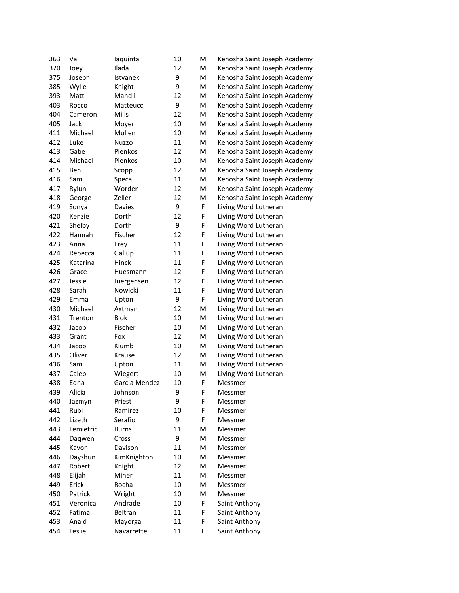| 363 | Val       | laquinta      | 10 | M | Kenosha Saint Joseph Academy |
|-----|-----------|---------------|----|---|------------------------------|
| 370 | Joev      | Ilada         | 12 | M | Kenosha Saint Joseph Academy |
| 375 | Joseph    | Istvanek      | 9  | M | Kenosha Saint Joseph Academy |
| 385 | Wylie     | Knight        | 9  | M | Kenosha Saint Joseph Academy |
| 393 | Matt      | Mandli        | 12 | M | Kenosha Saint Joseph Academy |
| 403 | Rocco     | Matteucci     | 9  | M | Kenosha Saint Joseph Academy |
| 404 | Cameron   | Mills         | 12 | M | Kenosha Saint Joseph Academy |
| 405 | Jack      | Moyer         | 10 | M | Kenosha Saint Joseph Academy |
| 411 | Michael   | Mullen        | 10 | M | Kenosha Saint Joseph Academy |
| 412 | Luke      | Nuzzo         | 11 | M | Kenosha Saint Joseph Academy |
| 413 | Gabe      | Pienkos       | 12 | M | Kenosha Saint Joseph Academy |
| 414 | Michael   | Pienkos       | 10 | M | Kenosha Saint Joseph Academy |
| 415 | Ben       | Scopp         | 12 | M | Kenosha Saint Joseph Academy |
| 416 | Sam       | Speca         | 11 | M | Kenosha Saint Joseph Academy |
| 417 | Rylun     | Worden        | 12 | M | Kenosha Saint Joseph Academy |
| 418 | George    | Zeller        | 12 | M | Kenosha Saint Joseph Academy |
| 419 | Sonya     | Davies        | 9  | F | Living Word Lutheran         |
| 420 | Kenzie    | Dorth         | 12 | F | Living Word Lutheran         |
| 421 | Shelby    | Dorth         | 9  | F | Living Word Lutheran         |
| 422 | Hannah    | Fischer       | 12 | F | Living Word Lutheran         |
| 423 | Anna      | Frey          | 11 | F | Living Word Lutheran         |
| 424 | Rebecca   | Gallup        | 11 | F | Living Word Lutheran         |
| 425 | Katarina  | Hinck         | 11 | F | Living Word Lutheran         |
| 426 | Grace     | Huesmann      | 12 | F | Living Word Lutheran         |
| 427 | Jessie    | Juergensen    | 12 | F | Living Word Lutheran         |
| 428 | Sarah     | Nowicki       | 11 | F | Living Word Lutheran         |
| 429 | Emma      | Upton         | 9  | F | Living Word Lutheran         |
| 430 | Michael   | Axtman        | 12 | M | Living Word Lutheran         |
| 431 | Trenton   | <b>Blok</b>   | 10 | M | Living Word Lutheran         |
| 432 | Jacob     | Fischer       | 10 | M | Living Word Lutheran         |
| 433 | Grant     | Fox           | 12 | M | Living Word Lutheran         |
| 434 | Jacob     | Klumb         | 10 | M | Living Word Lutheran         |
| 435 | Oliver    | Krause        | 12 | Μ | Living Word Lutheran         |
| 436 | Sam       | Upton         | 11 | Μ | Living Word Lutheran         |
| 437 | Caleb     | Wiegert       | 10 | M | Living Word Lutheran         |
| 438 | Edna      | Garcia Mendez | 10 | F | Messmer                      |
| 439 | Alicia    | Johnson       | 9  | F | Messmer                      |
| 440 | Jazmyn    | Priest        | 9  | F | Messmer                      |
| 441 | Rubi      | Ramirez       | 10 | F | Messmer                      |
| 442 | Lizeth    | Serafio       | 9  | F | Messmer                      |
| 443 | Lemietric | <b>Burns</b>  | 11 | Μ | Messmer                      |
| 444 | Daqwen    | Cross         | 9  | M | Messmer                      |
| 445 | Kavon     | Davison       | 11 | M | Messmer                      |
| 446 | Dayshun   | KimKnighton   | 10 | M | Messmer                      |
| 447 | Robert    | Knight        | 12 | M | Messmer                      |
| 448 | Elijah    | Miner         | 11 | M | Messmer                      |
| 449 | Erick     | Rocha         | 10 | M | Messmer                      |
| 450 | Patrick   | Wright        | 10 | Μ | Messmer                      |
| 451 | Veronica  | Andrade       | 10 | F | Saint Anthony                |
| 452 | Fatima    | Beltran       | 11 | F | Saint Anthony                |
| 453 | Anaid     | Mayorga       | 11 | F | Saint Anthony                |
| 454 | Leslie    | Navarrette    | 11 | F | Saint Anthony                |
|     |           |               |    |   |                              |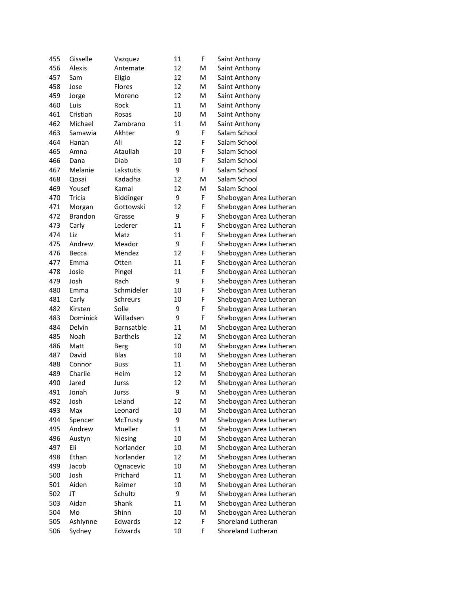| 455 | Gisselle       | Vazquez         | 11 | F | Saint Anthony           |
|-----|----------------|-----------------|----|---|-------------------------|
| 456 | Alexis         | Antemate        | 12 | M | Saint Anthony           |
| 457 | Sam            | Eligio          | 12 | M | Saint Anthony           |
| 458 | Jose           | Flores          | 12 | Μ | Saint Anthony           |
| 459 | Jorge          | Moreno          | 12 | Μ | Saint Anthony           |
| 460 | Luis           | Rock            | 11 | M | Saint Anthony           |
| 461 | Cristian       | Rosas           | 10 | M | Saint Anthony           |
| 462 | Michael        | Zambrano        | 11 | M | Saint Anthony           |
| 463 | Samawia        | Akhter          | 9  | F | Salam School            |
| 464 | Hanan          | Ali             | 12 | F | Salam School            |
| 465 | Amna           | Ataullah        | 10 | F | Salam School            |
| 466 | Dana           | Diab            | 10 | F | Salam School            |
| 467 | Melanie        | Lakstutis       | 9  | F | Salam School            |
| 468 | Qosai          | Kadadha         | 12 | M | Salam School            |
| 469 | Yousef         | Kamal           | 12 | M | Salam School            |
| 470 | Tricia         | Biddinger       | 9  | F | Sheboygan Area Lutheran |
| 471 | Morgan         | Gottowski       | 12 | F | Sheboygan Area Lutheran |
| 472 | <b>Brandon</b> | Grasse          | 9  | F | Sheboygan Area Lutheran |
| 473 | Carly          | Lederer         | 11 | F | Sheboygan Area Lutheran |
| 474 | Liz            | Matz            | 11 | F | Sheboygan Area Lutheran |
| 475 | Andrew         | Meador          | 9  | F | Sheboygan Area Lutheran |
| 476 | Becca          | Mendez          | 12 | F | Sheboygan Area Lutheran |
| 477 | Emma           | Otten           | 11 | F | Sheboygan Area Lutheran |
| 478 | Josie          | Pingel          | 11 | F | Sheboygan Area Lutheran |
| 479 | Josh           | Rach            | 9  | F | Sheboygan Area Lutheran |
| 480 | Emma           | Schmideler      | 10 | F | Sheboygan Area Lutheran |
| 481 | Carly          | Schreurs        | 10 | F | Sheboygan Area Lutheran |
| 482 | Kirsten        | Solle           | 9  | F | Sheboygan Area Lutheran |
| 483 | Dominick       | Willadsen       | 9  | F | Sheboygan Area Lutheran |
| 484 | Delvin         | Barnsatble      | 11 | M | Sheboygan Area Lutheran |
| 485 | Noah           | <b>Barthels</b> | 12 | M | Sheboygan Area Lutheran |
| 486 | Matt           | Berg            | 10 | M | Sheboygan Area Lutheran |
| 487 | David          | Blas            | 10 | M | Sheboygan Area Lutheran |
| 488 | Connor         | <b>Buss</b>     | 11 | M | Sheboygan Area Lutheran |
| 489 | Charlie        | Heim            | 12 | M | Sheboygan Area Lutheran |
| 490 | Jared          | Jurss           | 12 | M | Sheboygan Area Lutheran |
| 491 | Jonah          | Jurss           | 9  | M | Sheboygan Area Lutheran |
| 492 | Josh           | Leland          | 12 | M | Sheboygan Area Lutheran |
| 493 | Max            | Leonard         | 10 | M | Sheboygan Area Lutheran |
| 494 | Spencer        | McTrusty        | 9  | M | Sheboygan Area Lutheran |
| 495 | Andrew         | Mueller         | 11 | M | Sheboygan Area Lutheran |
| 496 | Austyn         | Niesing         | 10 | Μ | Sheboygan Area Lutheran |
| 497 | Eli            | Norlander       | 10 | Μ | Sheboygan Area Lutheran |
| 498 | Ethan          | Norlander       | 12 | Μ | Sheboygan Area Lutheran |
| 499 | Jacob          | Ognacevic       | 10 | Μ | Sheboygan Area Lutheran |
| 500 | Josh           | Prichard        | 11 | Μ | Sheboygan Area Lutheran |
| 501 | Aiden          | Reimer          | 10 | M | Sheboygan Area Lutheran |
| 502 | JT             | Schultz         | 9  | M | Sheboygan Area Lutheran |
| 503 | Aidan          | Shank           | 11 | M | Sheboygan Area Lutheran |
| 504 | Mo             | Shinn           | 10 | M | Sheboygan Area Lutheran |
| 505 | Ashlynne       | Edwards         | 12 | F | Shoreland Lutheran      |
| 506 | Sydney         | Edwards         | 10 | F | Shoreland Lutheran      |
|     |                |                 |    |   |                         |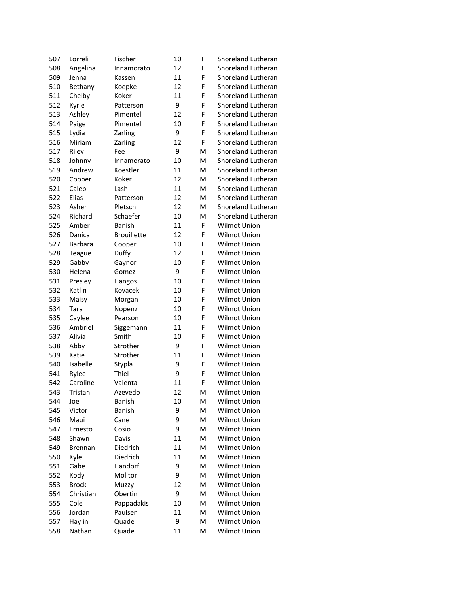| 507 | Lorreli        | Fischer            | 10 | F | Shoreland Lutheran        |
|-----|----------------|--------------------|----|---|---------------------------|
| 508 | Angelina       | Innamorato         | 12 | F | Shoreland Lutheran        |
| 509 | Jenna          | Kassen             | 11 | F | Shoreland Lutheran        |
| 510 | Bethany        | Koepke             | 12 | F | Shoreland Lutheran        |
| 511 | Chelby         | Koker              | 11 | F | <b>Shoreland Lutheran</b> |
| 512 | Kyrie          | Patterson          | 9  | F | Shoreland Lutheran        |
| 513 | Ashley         | Pimentel           | 12 | F | Shoreland Lutheran        |
| 514 | Paige          | Pimentel           | 10 | F | Shoreland Lutheran        |
| 515 | Lydia          | Zarling            | 9  | F | <b>Shoreland Lutheran</b> |
| 516 | Miriam         | Zarling            | 12 | F | Shoreland Lutheran        |
| 517 | Riley          | Fee                | 9  | M | Shoreland Lutheran        |
| 518 | Johnny         | Innamorato         | 10 | M | Shoreland Lutheran        |
| 519 | Andrew         | Koestler           | 11 | M | Shoreland Lutheran        |
| 520 | Cooper         | Koker              | 12 | M | Shoreland Lutheran        |
| 521 | Caleb          | Lash               | 11 | M | Shoreland Lutheran        |
| 522 | Elias          | Patterson          | 12 | M | Shoreland Lutheran        |
| 523 | Asher          | Pletsch            | 12 | M | Shoreland Lutheran        |
| 524 | Richard        | Schaefer           | 10 | M | Shoreland Lutheran        |
| 525 | Amber          | <b>Banish</b>      | 11 | F | Wilmot Union              |
| 526 | Danica         | <b>Brouillette</b> | 12 | F | Wilmot Union              |
| 527 | Barbara        | Cooper             | 10 | F | Wilmot Union              |
| 528 | Teague         | Duffy              | 12 | F | Wilmot Union              |
| 529 | Gabby          | Gaynor             | 10 | F | Wilmot Union              |
| 530 | Helena         | Gomez              | 9  | F | Wilmot Union              |
| 531 | Presley        | Hangos             | 10 | F | Wilmot Union              |
| 532 | Katlin         | Kovacek            | 10 | F | Wilmot Union              |
| 533 | Maisy          | Morgan             | 10 | F | Wilmot Union              |
| 534 | Tara           | Nopenz             | 10 | F | <b>Wilmot Union</b>       |
| 535 | Caylee         | Pearson            | 10 | F | Wilmot Union              |
| 536 | Ambriel        | Siggemann          | 11 | F | Wilmot Union              |
| 537 | Alivia         | Smith              | 10 | F | Wilmot Union              |
| 538 | Abby           | Strother           | 9  | F | Wilmot Union              |
| 539 | Katie          | Strother           | 11 | F | Wilmot Union              |
| 540 | Isabelle       | Stypla             | 9  | F | Wilmot Union              |
| 541 | Rylee          | Thiel              | 9  | F | Wilmot Union              |
| 542 | Caroline       | Valenta            | 11 | F | <b>Wilmot Union</b>       |
| 543 | Tristan        | Azevedo            | 12 | M | Wilmot Union              |
| 544 | Joe            | <b>Banish</b>      | 10 | M | Wilmot Union              |
| 545 | Victor         | Banish             | 9  | M | Wilmot Union              |
| 546 | Maui           | Cane               | 9  | M | Wilmot Union              |
| 547 | Ernesto        | Cosio              | 9  | M | Wilmot Union              |
| 548 | Shawn          | Davis              | 11 | M | Wilmot Union              |
| 549 | <b>Brennan</b> | Diedrich           | 11 | M | Wilmot Union              |
| 550 | Kyle           | Diedrich           | 11 | M | Wilmot Union              |
| 551 | Gabe           | Handorf            | 9  | M | Wilmot Union              |
| 552 | Kody           | Molitor            | 9  | M | Wilmot Union              |
| 553 | <b>Brock</b>   | Muzzy              | 12 | M | Wilmot Union              |
| 554 | Christian      | Obertin            | 9  | M | Wilmot Union              |
| 555 | Cole           | Pappadakis         | 10 | M | Wilmot Union              |
| 556 | Jordan         | Paulsen            | 11 | M | Wilmot Union              |
| 557 | Haylin         | Quade              | 9  | M | Wilmot Union              |
|     |                |                    |    |   |                           |
| 558 | Nathan         | Quade              | 11 | M | Wilmot Union              |